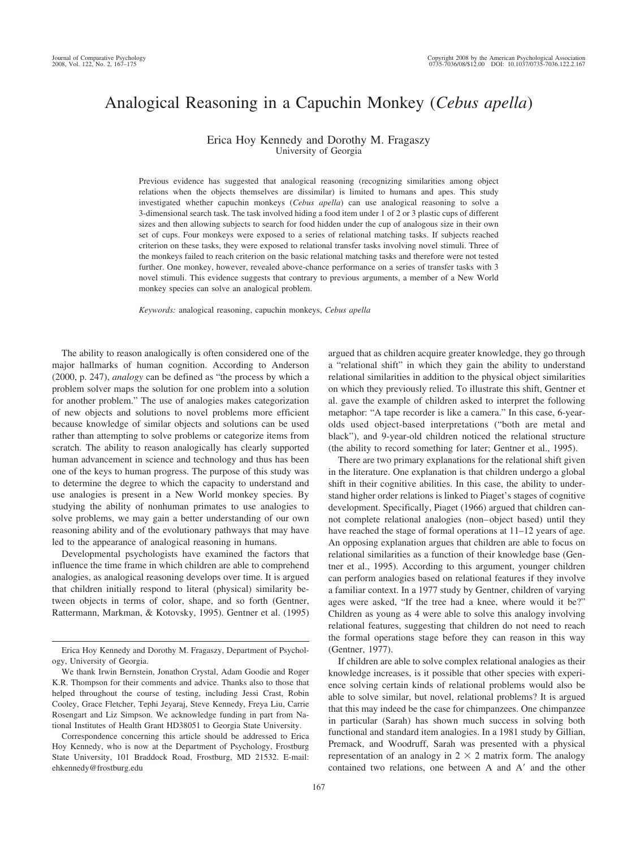# Analogical Reasoning in a Capuchin Monkey (*Cebus apella*)

## Erica Hoy Kennedy and Dorothy M. Fragaszy University of Georgia

Previous evidence has suggested that analogical reasoning (recognizing similarities among object relations when the objects themselves are dissimilar) is limited to humans and apes. This study investigated whether capuchin monkeys (*Cebus apella*) can use analogical reasoning to solve a 3-dimensional search task. The task involved hiding a food item under 1 of 2 or 3 plastic cups of different sizes and then allowing subjects to search for food hidden under the cup of analogous size in their own set of cups. Four monkeys were exposed to a series of relational matching tasks. If subjects reached criterion on these tasks, they were exposed to relational transfer tasks involving novel stimuli. Three of the monkeys failed to reach criterion on the basic relational matching tasks and therefore were not tested further. One monkey, however, revealed above-chance performance on a series of transfer tasks with 3 novel stimuli. This evidence suggests that contrary to previous arguments, a member of a New World monkey species can solve an analogical problem.

*Keywords:* analogical reasoning, capuchin monkeys, *Cebus apella*

The ability to reason analogically is often considered one of the major hallmarks of human cognition. According to Anderson (2000, p. 247), *analogy* can be defined as "the process by which a problem solver maps the solution for one problem into a solution for another problem." The use of analogies makes categorization of new objects and solutions to novel problems more efficient because knowledge of similar objects and solutions can be used rather than attempting to solve problems or categorize items from scratch. The ability to reason analogically has clearly supported human advancement in science and technology and thus has been one of the keys to human progress. The purpose of this study was to determine the degree to which the capacity to understand and use analogies is present in a New World monkey species. By studying the ability of nonhuman primates to use analogies to solve problems, we may gain a better understanding of our own reasoning ability and of the evolutionary pathways that may have led to the appearance of analogical reasoning in humans.

Developmental psychologists have examined the factors that influence the time frame in which children are able to comprehend analogies, as analogical reasoning develops over time. It is argued that children initially respond to literal (physical) similarity between objects in terms of color, shape, and so forth (Gentner, Rattermann, Markman, & Kotovsky, 1995). Gentner et al. (1995)

Correspondence concerning this article should be addressed to Erica Hoy Kennedy, who is now at the Department of Psychology, Frostburg State University, 101 Braddock Road, Frostburg, MD 21532. E-mail: ehkennedy@frostburg.edu

argued that as children acquire greater knowledge, they go through a "relational shift" in which they gain the ability to understand relational similarities in addition to the physical object similarities on which they previously relied. To illustrate this shift, Gentner et al. gave the example of children asked to interpret the following metaphor: "A tape recorder is like a camera." In this case, 6-yearolds used object-based interpretations ("both are metal and black"), and 9-year-old children noticed the relational structure (the ability to record something for later; Gentner et al., 1995).

There are two primary explanations for the relational shift given in the literature. One explanation is that children undergo a global shift in their cognitive abilities. In this case, the ability to understand higher order relations is linked to Piaget's stages of cognitive development. Specifically, Piaget (1966) argued that children cannot complete relational analogies (non–object based) until they have reached the stage of formal operations at  $11-12$  years of age. An opposing explanation argues that children are able to focus on relational similarities as a function of their knowledge base (Gentner et al., 1995). According to this argument, younger children can perform analogies based on relational features if they involve a familiar context. In a 1977 study by Gentner, children of varying ages were asked, "If the tree had a knee, where would it be?" Children as young as 4 were able to solve this analogy involving relational features, suggesting that children do not need to reach the formal operations stage before they can reason in this way (Gentner, 1977).

If children are able to solve complex relational analogies as their knowledge increases, is it possible that other species with experience solving certain kinds of relational problems would also be able to solve similar, but novel, relational problems? It is argued that this may indeed be the case for chimpanzees. One chimpanzee in particular (Sarah) has shown much success in solving both functional and standard item analogies. In a 1981 study by Gillian, Premack, and Woodruff, Sarah was presented with a physical representation of an analogy in  $2 \times 2$  matrix form. The analogy contained two relations, one between A and A' and the other

Erica Hoy Kennedy and Dorothy M. Fragaszy, Department of Psychology, University of Georgia.

We thank Irwin Bernstein, Jonathon Crystal, Adam Goodie and Roger K.R. Thompson for their comments and advice. Thanks also to those that helped throughout the course of testing, including Jessi Crast, Robin Cooley, Grace Fletcher, Tephi Jeyaraj, Steve Kennedy, Freya Liu, Carrie Rosengart and Liz Simpson. We acknowledge funding in part from National Institutes of Health Grant HD38051 to Georgia State University.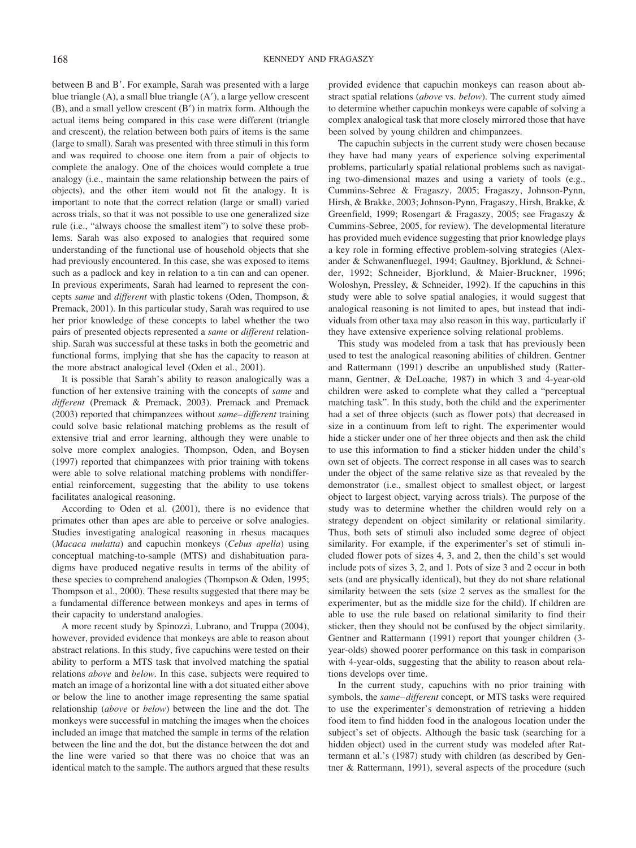between B and B'. For example, Sarah was presented with a large blue triangle (A), a small blue triangle (A'), a large yellow crescent  $(B)$ , and a small yellow crescent  $(B')$  in matrix form. Although the actual items being compared in this case were different (triangle and crescent), the relation between both pairs of items is the same (large to small). Sarah was presented with three stimuli in this form and was required to choose one item from a pair of objects to complete the analogy. One of the choices would complete a true analogy (i.e., maintain the same relationship between the pairs of objects), and the other item would not fit the analogy. It is important to note that the correct relation (large or small) varied across trials, so that it was not possible to use one generalized size rule (i.e., "always choose the smallest item") to solve these problems. Sarah was also exposed to analogies that required some understanding of the functional use of household objects that she had previously encountered. In this case, she was exposed to items such as a padlock and key in relation to a tin can and can opener. In previous experiments, Sarah had learned to represent the concepts *same* and *different* with plastic tokens (Oden, Thompson, & Premack, 2001). In this particular study, Sarah was required to use her prior knowledge of these concepts to label whether the two pairs of presented objects represented a *same* or *different* relationship. Sarah was successful at these tasks in both the geometric and functional forms, implying that she has the capacity to reason at the more abstract analogical level (Oden et al., 2001).

It is possible that Sarah's ability to reason analogically was a function of her extensive training with the concepts of *same* and *different* (Premack & Premack, 2003). Premack and Premack (2003) reported that chimpanzees without *same– different* training could solve basic relational matching problems as the result of extensive trial and error learning, although they were unable to solve more complex analogies. Thompson, Oden, and Boysen (1997) reported that chimpanzees with prior training with tokens were able to solve relational matching problems with nondifferential reinforcement, suggesting that the ability to use tokens facilitates analogical reasoning.

According to Oden et al. (2001), there is no evidence that primates other than apes are able to perceive or solve analogies. Studies investigating analogical reasoning in rhesus macaques (*Macaca mulatta*) and capuchin monkeys (*Cebus apella*) using conceptual matching-to-sample (MTS) and dishabituation paradigms have produced negative results in terms of the ability of these species to comprehend analogies (Thompson & Oden, 1995; Thompson et al., 2000). These results suggested that there may be a fundamental difference between monkeys and apes in terms of their capacity to understand analogies.

A more recent study by Spinozzi, Lubrano, and Truppa (2004), however, provided evidence that monkeys are able to reason about abstract relations. In this study, five capuchins were tested on their ability to perform a MTS task that involved matching the spatial relations *above* and *below.* In this case, subjects were required to match an image of a horizontal line with a dot situated either above or below the line to another image representing the same spatial relationship (*above* or *below*) between the line and the dot. The monkeys were successful in matching the images when the choices included an image that matched the sample in terms of the relation between the line and the dot, but the distance between the dot and the line were varied so that there was no choice that was an identical match to the sample. The authors argued that these results

provided evidence that capuchin monkeys can reason about abstract spatial relations (*above* vs. *below*). The current study aimed to determine whether capuchin monkeys were capable of solving a complex analogical task that more closely mirrored those that have been solved by young children and chimpanzees.

The capuchin subjects in the current study were chosen because they have had many years of experience solving experimental problems, particularly spatial relational problems such as navigating two-dimensional mazes and using a variety of tools (e.g., Cummins-Sebree & Fragaszy, 2005; Fragaszy, Johnson-Pynn, Hirsh, & Brakke, 2003; Johnson-Pynn, Fragaszy, Hirsh, Brakke, & Greenfield, 1999; Rosengart & Fragaszy, 2005; see Fragaszy & Cummins-Sebree, 2005, for review). The developmental literature has provided much evidence suggesting that prior knowledge plays a key role in forming effective problem-solving strategies (Alexander & Schwanenfluegel, 1994; Gaultney, Bjorklund, & Schneider, 1992; Schneider, Bjorklund, & Maier-Bruckner, 1996; Woloshyn, Pressley, & Schneider, 1992). If the capuchins in this study were able to solve spatial analogies, it would suggest that analogical reasoning is not limited to apes, but instead that individuals from other taxa may also reason in this way, particularly if they have extensive experience solving relational problems.

This study was modeled from a task that has previously been used to test the analogical reasoning abilities of children. Gentner and Rattermann (1991) describe an unpublished study (Rattermann, Gentner, & DeLoache, 1987) in which 3 and 4-year-old children were asked to complete what they called a "perceptual matching task". In this study, both the child and the experimenter had a set of three objects (such as flower pots) that decreased in size in a continuum from left to right. The experimenter would hide a sticker under one of her three objects and then ask the child to use this information to find a sticker hidden under the child's own set of objects. The correct response in all cases was to search under the object of the same relative size as that revealed by the demonstrator (i.e., smallest object to smallest object, or largest object to largest object, varying across trials). The purpose of the study was to determine whether the children would rely on a strategy dependent on object similarity or relational similarity. Thus, both sets of stimuli also included some degree of object similarity. For example, if the experimenter's set of stimuli included flower pots of sizes 4, 3, and 2, then the child's set would include pots of sizes 3, 2, and 1. Pots of size 3 and 2 occur in both sets (and are physically identical), but they do not share relational similarity between the sets (size 2 serves as the smallest for the experimenter, but as the middle size for the child). If children are able to use the rule based on relational similarity to find their sticker, then they should not be confused by the object similarity. Gentner and Rattermann (1991) report that younger children (3 year-olds) showed poorer performance on this task in comparison with 4-year-olds, suggesting that the ability to reason about relations develops over time.

In the current study, capuchins with no prior training with symbols, the *same– different* concept, or MTS tasks were required to use the experimenter's demonstration of retrieving a hidden food item to find hidden food in the analogous location under the subject's set of objects. Although the basic task (searching for a hidden object) used in the current study was modeled after Rattermann et al.'s (1987) study with children (as described by Gentner & Rattermann, 1991), several aspects of the procedure (such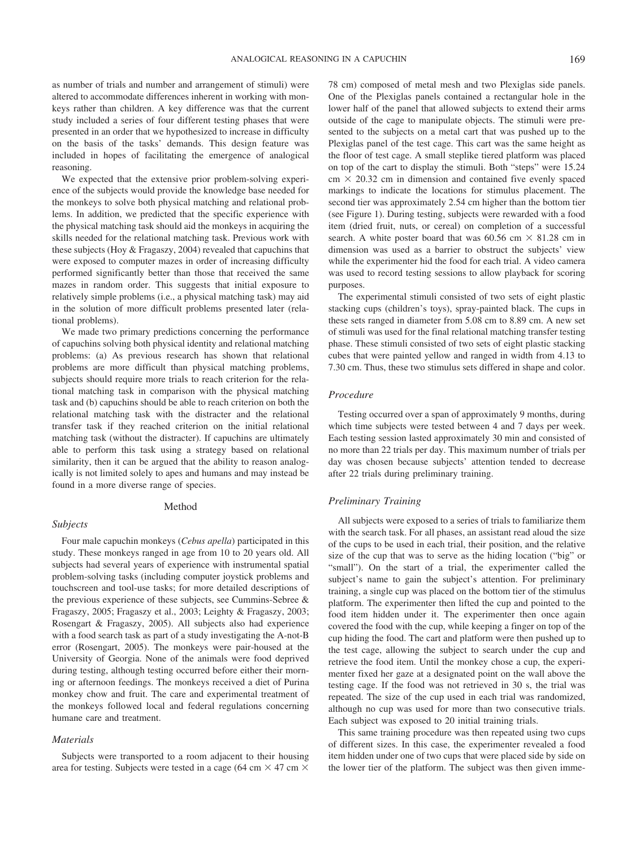as number of trials and number and arrangement of stimuli) were altered to accommodate differences inherent in working with monkeys rather than children. A key difference was that the current study included a series of four different testing phases that were presented in an order that we hypothesized to increase in difficulty on the basis of the tasks' demands. This design feature was included in hopes of facilitating the emergence of analogical reasoning.

We expected that the extensive prior problem-solving experience of the subjects would provide the knowledge base needed for the monkeys to solve both physical matching and relational problems. In addition, we predicted that the specific experience with the physical matching task should aid the monkeys in acquiring the skills needed for the relational matching task. Previous work with these subjects (Hoy & Fragaszy, 2004) revealed that capuchins that were exposed to computer mazes in order of increasing difficulty performed significantly better than those that received the same mazes in random order. This suggests that initial exposure to relatively simple problems (i.e., a physical matching task) may aid in the solution of more difficult problems presented later (relational problems).

We made two primary predictions concerning the performance of capuchins solving both physical identity and relational matching problems: (a) As previous research has shown that relational problems are more difficult than physical matching problems, subjects should require more trials to reach criterion for the relational matching task in comparison with the physical matching task and (b) capuchins should be able to reach criterion on both the relational matching task with the distracter and the relational transfer task if they reached criterion on the initial relational matching task (without the distracter). If capuchins are ultimately able to perform this task using a strategy based on relational similarity, then it can be argued that the ability to reason analogically is not limited solely to apes and humans and may instead be found in a more diverse range of species.

#### Method

#### *Subjects*

Four male capuchin monkeys (*Cebus apella*) participated in this study. These monkeys ranged in age from 10 to 20 years old. All subjects had several years of experience with instrumental spatial problem-solving tasks (including computer joystick problems and touchscreen and tool-use tasks; for more detailed descriptions of the previous experience of these subjects, see Cummins-Sebree & Fragaszy, 2005; Fragaszy et al., 2003; Leighty & Fragaszy, 2003; Rosengart & Fragaszy, 2005). All subjects also had experience with a food search task as part of a study investigating the A-not-B error (Rosengart, 2005). The monkeys were pair-housed at the University of Georgia. None of the animals were food deprived during testing, although testing occurred before either their morning or afternoon feedings. The monkeys received a diet of Purina monkey chow and fruit. The care and experimental treatment of the monkeys followed local and federal regulations concerning humane care and treatment.

#### *Materials*

Subjects were transported to a room adjacent to their housing area for testing. Subjects were tested in a cage (64 cm  $\times$  47 cm  $\times$ 

78 cm) composed of metal mesh and two Plexiglas side panels. One of the Plexiglas panels contained a rectangular hole in the lower half of the panel that allowed subjects to extend their arms outside of the cage to manipulate objects. The stimuli were presented to the subjects on a metal cart that was pushed up to the Plexiglas panel of the test cage. This cart was the same height as the floor of test cage. A small steplike tiered platform was placed on top of the cart to display the stimuli. Both "steps" were 15.24  $\text{cm} \times 20.32 \text{ cm}$  in dimension and contained five evenly spaced markings to indicate the locations for stimulus placement. The second tier was approximately 2.54 cm higher than the bottom tier (see Figure 1). During testing, subjects were rewarded with a food item (dried fruit, nuts, or cereal) on completion of a successful search. A white poster board that was  $60.56$  cm  $\times$  81.28 cm in dimension was used as a barrier to obstruct the subjects' view while the experimenter hid the food for each trial. A video camera was used to record testing sessions to allow playback for scoring purposes.

The experimental stimuli consisted of two sets of eight plastic stacking cups (children's toys), spray-painted black. The cups in these sets ranged in diameter from 5.08 cm to 8.89 cm. A new set of stimuli was used for the final relational matching transfer testing phase. These stimuli consisted of two sets of eight plastic stacking cubes that were painted yellow and ranged in width from 4.13 to 7.30 cm. Thus, these two stimulus sets differed in shape and color.

#### *Procedure*

Testing occurred over a span of approximately 9 months, during which time subjects were tested between 4 and 7 days per week. Each testing session lasted approximately 30 min and consisted of no more than 22 trials per day. This maximum number of trials per day was chosen because subjects' attention tended to decrease after 22 trials during preliminary training.

#### *Preliminary Training*

All subjects were exposed to a series of trials to familiarize them with the search task. For all phases, an assistant read aloud the size of the cups to be used in each trial, their position, and the relative size of the cup that was to serve as the hiding location ("big" or "small"). On the start of a trial, the experimenter called the subject's name to gain the subject's attention. For preliminary training, a single cup was placed on the bottom tier of the stimulus platform. The experimenter then lifted the cup and pointed to the food item hidden under it. The experimenter then once again covered the food with the cup, while keeping a finger on top of the cup hiding the food. The cart and platform were then pushed up to the test cage, allowing the subject to search under the cup and retrieve the food item. Until the monkey chose a cup, the experimenter fixed her gaze at a designated point on the wall above the testing cage. If the food was not retrieved in 30 s, the trial was repeated. The size of the cup used in each trial was randomized, although no cup was used for more than two consecutive trials. Each subject was exposed to 20 initial training trials.

This same training procedure was then repeated using two cups of different sizes. In this case, the experimenter revealed a food item hidden under one of two cups that were placed side by side on the lower tier of the platform. The subject was then given imme-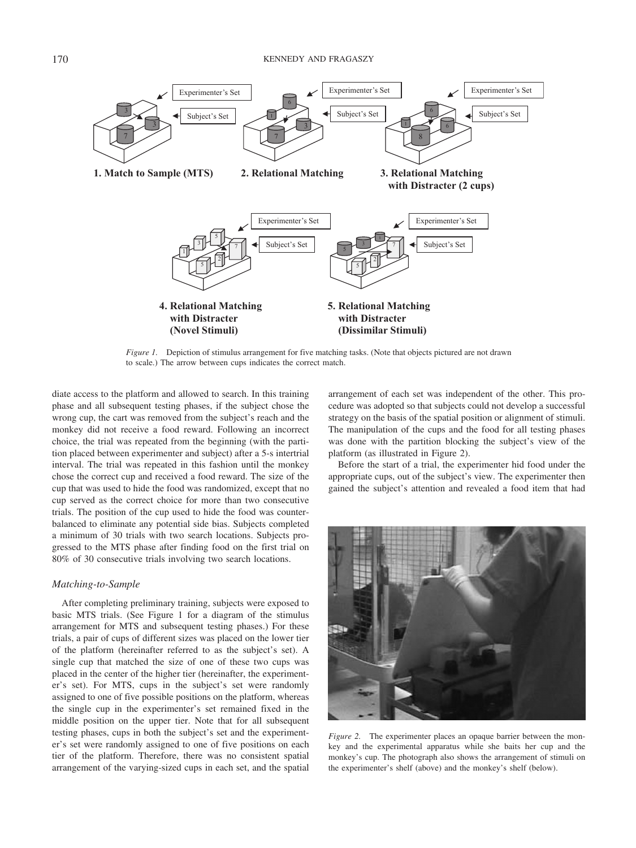

*Figure 1.* Depiction of stimulus arrangement for five matching tasks. (Note that objects pictured are not drawn to scale.) The arrow between cups indicates the correct match.

diate access to the platform and allowed to search. In this training phase and all subsequent testing phases, if the subject chose the wrong cup, the cart was removed from the subject's reach and the monkey did not receive a food reward. Following an incorrect choice, the trial was repeated from the beginning (with the partition placed between experimenter and subject) after a 5-s intertrial interval. The trial was repeated in this fashion until the monkey chose the correct cup and received a food reward. The size of the cup that was used to hide the food was randomized, except that no cup served as the correct choice for more than two consecutive trials. The position of the cup used to hide the food was counterbalanced to eliminate any potential side bias. Subjects completed a minimum of 30 trials with two search locations. Subjects progressed to the MTS phase after finding food on the first trial on 80% of 30 consecutive trials involving two search locations.

#### *Matching-to-Sample*

After completing preliminary training, subjects were exposed to basic MTS trials. (See Figure 1 for a diagram of the stimulus arrangement for MTS and subsequent testing phases.) For these trials, a pair of cups of different sizes was placed on the lower tier of the platform (hereinafter referred to as the subject's set). A single cup that matched the size of one of these two cups was placed in the center of the higher tier (hereinafter, the experimenter's set). For MTS, cups in the subject's set were randomly assigned to one of five possible positions on the platform, whereas the single cup in the experimenter's set remained fixed in the middle position on the upper tier. Note that for all subsequent testing phases, cups in both the subject's set and the experimenter's set were randomly assigned to one of five positions on each tier of the platform. Therefore, there was no consistent spatial arrangement of the varying-sized cups in each set, and the spatial arrangement of each set was independent of the other. This procedure was adopted so that subjects could not develop a successful strategy on the basis of the spatial position or alignment of stimuli. The manipulation of the cups and the food for all testing phases was done with the partition blocking the subject's view of the platform (as illustrated in Figure 2).

Before the start of a trial, the experimenter hid food under the appropriate cups, out of the subject's view. The experimenter then gained the subject's attention and revealed a food item that had



*Figure 2.* The experimenter places an opaque barrier between the monkey and the experimental apparatus while she baits her cup and the monkey's cup. The photograph also shows the arrangement of stimuli on the experimenter's shelf (above) and the monkey's shelf (below).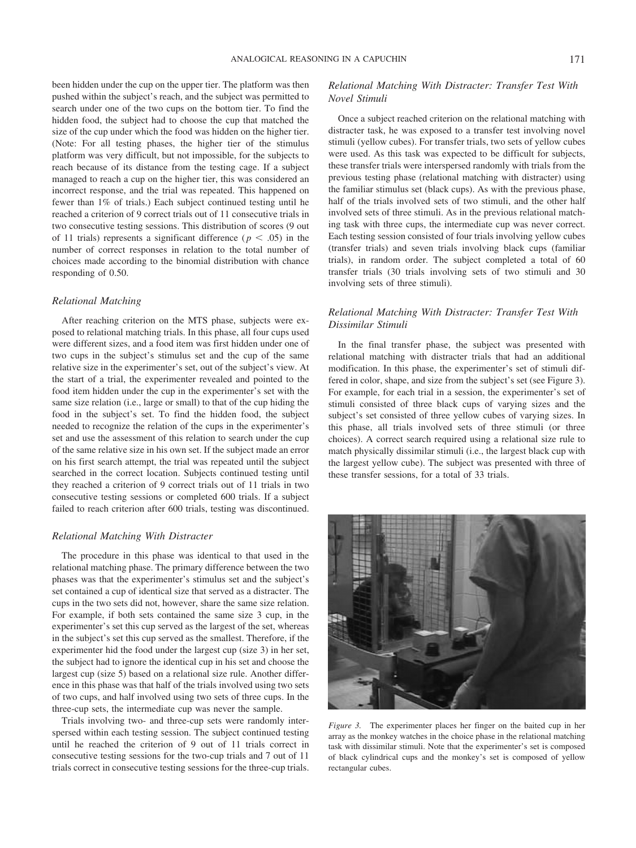been hidden under the cup on the upper tier. The platform was then pushed within the subject's reach, and the subject was permitted to search under one of the two cups on the bottom tier. To find the hidden food, the subject had to choose the cup that matched the size of the cup under which the food was hidden on the higher tier. (Note: For all testing phases, the higher tier of the stimulus platform was very difficult, but not impossible, for the subjects to reach because of its distance from the testing cage. If a subject managed to reach a cup on the higher tier, this was considered an incorrect response, and the trial was repeated. This happened on fewer than 1% of trials.) Each subject continued testing until he reached a criterion of 9 correct trials out of 11 consecutive trials in two consecutive testing sessions. This distribution of scores (9 out of 11 trials) represents a significant difference ( $p < .05$ ) in the number of correct responses in relation to the total number of choices made according to the binomial distribution with chance responding of 0.50.

## *Relational Matching*

After reaching criterion on the MTS phase, subjects were exposed to relational matching trials. In this phase, all four cups used were different sizes, and a food item was first hidden under one of two cups in the subject's stimulus set and the cup of the same relative size in the experimenter's set, out of the subject's view. At the start of a trial, the experimenter revealed and pointed to the food item hidden under the cup in the experimenter's set with the same size relation (i.e., large or small) to that of the cup hiding the food in the subject's set. To find the hidden food, the subject needed to recognize the relation of the cups in the experimenter's set and use the assessment of this relation to search under the cup of the same relative size in his own set. If the subject made an error on his first search attempt, the trial was repeated until the subject searched in the correct location. Subjects continued testing until they reached a criterion of 9 correct trials out of 11 trials in two consecutive testing sessions or completed 600 trials. If a subject failed to reach criterion after 600 trials, testing was discontinued.

## *Relational Matching With Distracter*

The procedure in this phase was identical to that used in the relational matching phase. The primary difference between the two phases was that the experimenter's stimulus set and the subject's set contained a cup of identical size that served as a distracter. The cups in the two sets did not, however, share the same size relation. For example, if both sets contained the same size 3 cup, in the experimenter's set this cup served as the largest of the set, whereas in the subject's set this cup served as the smallest. Therefore, if the experimenter hid the food under the largest cup (size 3) in her set, the subject had to ignore the identical cup in his set and choose the largest cup (size 5) based on a relational size rule. Another difference in this phase was that half of the trials involved using two sets of two cups, and half involved using two sets of three cups. In the three-cup sets, the intermediate cup was never the sample.

Trials involving two- and three-cup sets were randomly interspersed within each testing session. The subject continued testing until he reached the criterion of 9 out of 11 trials correct in consecutive testing sessions for the two-cup trials and 7 out of 11 trials correct in consecutive testing sessions for the three-cup trials.

## *Relational Matching With Distracter: Transfer Test With Novel Stimuli*

Once a subject reached criterion on the relational matching with distracter task, he was exposed to a transfer test involving novel stimuli (yellow cubes). For transfer trials, two sets of yellow cubes were used. As this task was expected to be difficult for subjects, these transfer trials were interspersed randomly with trials from the previous testing phase (relational matching with distracter) using the familiar stimulus set (black cups). As with the previous phase, half of the trials involved sets of two stimuli, and the other half involved sets of three stimuli. As in the previous relational matching task with three cups, the intermediate cup was never correct. Each testing session consisted of four trials involving yellow cubes (transfer trials) and seven trials involving black cups (familiar trials), in random order. The subject completed a total of 60 transfer trials (30 trials involving sets of two stimuli and 30 involving sets of three stimuli).

# *Relational Matching With Distracter: Transfer Test With Dissimilar Stimuli*

In the final transfer phase, the subject was presented with relational matching with distracter trials that had an additional modification. In this phase, the experimenter's set of stimuli differed in color, shape, and size from the subject's set (see Figure 3). For example, for each trial in a session, the experimenter's set of stimuli consisted of three black cups of varying sizes and the subject's set consisted of three yellow cubes of varying sizes. In this phase, all trials involved sets of three stimuli (or three choices). A correct search required using a relational size rule to match physically dissimilar stimuli (i.e., the largest black cup with the largest yellow cube). The subject was presented with three of these transfer sessions, for a total of 33 trials.



*Figure 3.* The experimenter places her finger on the baited cup in her array as the monkey watches in the choice phase in the relational matching task with dissimilar stimuli. Note that the experimenter's set is composed of black cylindrical cups and the monkey's set is composed of yellow rectangular cubes.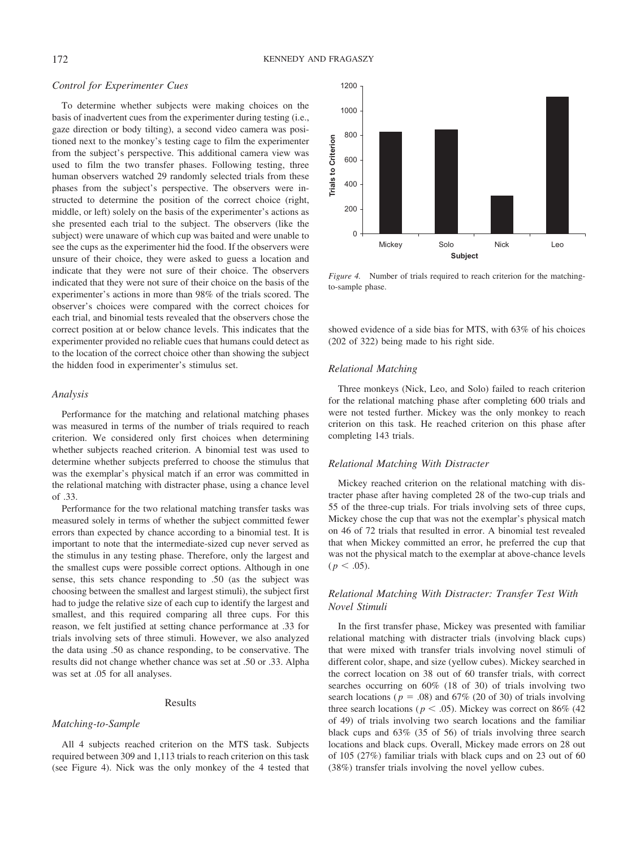#### *Control for Experimenter Cues*

To determine whether subjects were making choices on the basis of inadvertent cues from the experimenter during testing (i.e., gaze direction or body tilting), a second video camera was positioned next to the monkey's testing cage to film the experimenter from the subject's perspective. This additional camera view was used to film the two transfer phases. Following testing, three human observers watched 29 randomly selected trials from these phases from the subject's perspective. The observers were instructed to determine the position of the correct choice (right, middle, or left) solely on the basis of the experimenter's actions as she presented each trial to the subject. The observers (like the subject) were unaware of which cup was baited and were unable to see the cups as the experimenter hid the food. If the observers were unsure of their choice, they were asked to guess a location and indicate that they were not sure of their choice. The observers indicated that they were not sure of their choice on the basis of the experimenter's actions in more than 98% of the trials scored. The observer's choices were compared with the correct choices for each trial, and binomial tests revealed that the observers chose the correct position at or below chance levels. This indicates that the experimenter provided no reliable cues that humans could detect as to the location of the correct choice other than showing the subject the hidden food in experimenter's stimulus set.

## *Analysis*

Performance for the matching and relational matching phases was measured in terms of the number of trials required to reach criterion. We considered only first choices when determining whether subjects reached criterion. A binomial test was used to determine whether subjects preferred to choose the stimulus that was the exemplar's physical match if an error was committed in the relational matching with distracter phase, using a chance level of .33.

Performance for the two relational matching transfer tasks was measured solely in terms of whether the subject committed fewer errors than expected by chance according to a binomial test. It is important to note that the intermediate-sized cup never served as the stimulus in any testing phase. Therefore, only the largest and the smallest cups were possible correct options. Although in one sense, this sets chance responding to .50 (as the subject was choosing between the smallest and largest stimuli), the subject first had to judge the relative size of each cup to identify the largest and smallest, and this required comparing all three cups. For this reason, we felt justified at setting chance performance at .33 for trials involving sets of three stimuli. However, we also analyzed the data using .50 as chance responding, to be conservative. The results did not change whether chance was set at .50 or .33. Alpha was set at .05 for all analyses.

#### Results

#### *Matching-to-Sample*

All 4 subjects reached criterion on the MTS task. Subjects required between 309 and 1,113 trials to reach criterion on this task (see Figure 4). Nick was the only monkey of the 4 tested that



*Figure 4.* Number of trials required to reach criterion for the matchingto-sample phase.

showed evidence of a side bias for MTS, with 63% of his choices (202 of 322) being made to his right side.

#### *Relational Matching*

Three monkeys (Nick, Leo, and Solo) failed to reach criterion for the relational matching phase after completing 600 trials and were not tested further. Mickey was the only monkey to reach criterion on this task. He reached criterion on this phase after completing 143 trials.

# *Relational Matching With Distracter*

Mickey reached criterion on the relational matching with distracter phase after having completed 28 of the two-cup trials and 55 of the three-cup trials. For trials involving sets of three cups, Mickey chose the cup that was not the exemplar's physical match on 46 of 72 trials that resulted in error. A binomial test revealed that when Mickey committed an error, he preferred the cup that was not the physical match to the exemplar at above-chance levels  $(p < .05)$ .

# *Relational Matching With Distracter: Transfer Test With Novel Stimuli*

In the first transfer phase, Mickey was presented with familiar relational matching with distracter trials (involving black cups) that were mixed with transfer trials involving novel stimuli of different color, shape, and size (yellow cubes). Mickey searched in the correct location on 38 out of 60 transfer trials, with correct searches occurring on 60% (18 of 30) of trials involving two search locations ( $p = .08$ ) and 67% (20 of 30) of trials involving three search locations ( $p < .05$ ). Mickey was correct on 86% (42) of 49) of trials involving two search locations and the familiar black cups and 63% (35 of 56) of trials involving three search locations and black cups. Overall, Mickey made errors on 28 out of 105 (27%) familiar trials with black cups and on 23 out of 60 (38%) transfer trials involving the novel yellow cubes.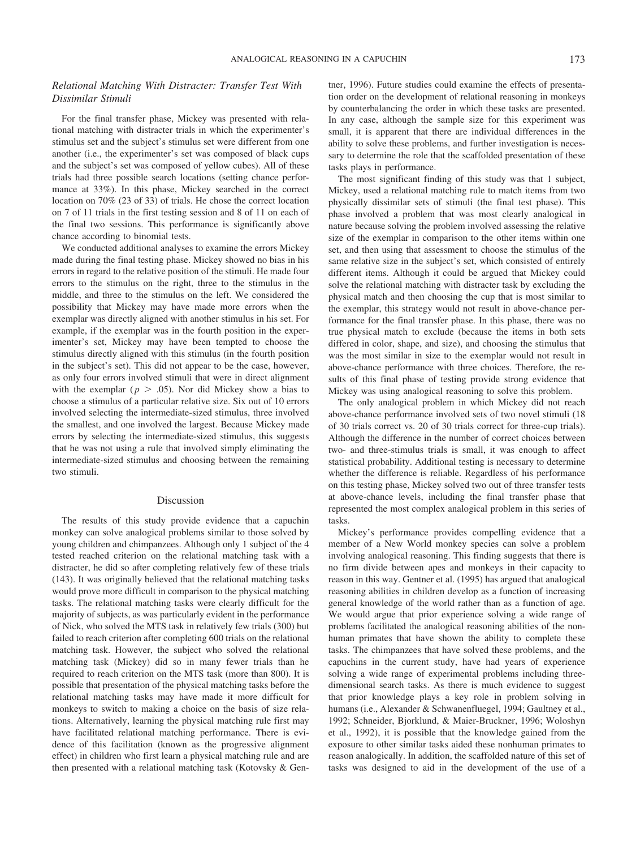## *Relational Matching With Distracter: Transfer Test With Dissimilar Stimuli*

For the final transfer phase, Mickey was presented with relational matching with distracter trials in which the experimenter's stimulus set and the subject's stimulus set were different from one another (i.e., the experimenter's set was composed of black cups and the subject's set was composed of yellow cubes). All of these trials had three possible search locations (setting chance performance at 33%). In this phase, Mickey searched in the correct location on 70% (23 of 33) of trials. He chose the correct location on 7 of 11 trials in the first testing session and 8 of 11 on each of the final two sessions. This performance is significantly above chance according to binomial tests.

We conducted additional analyses to examine the errors Mickey made during the final testing phase. Mickey showed no bias in his errors in regard to the relative position of the stimuli. He made four errors to the stimulus on the right, three to the stimulus in the middle, and three to the stimulus on the left. We considered the possibility that Mickey may have made more errors when the exemplar was directly aligned with another stimulus in his set. For example, if the exemplar was in the fourth position in the experimenter's set, Mickey may have been tempted to choose the stimulus directly aligned with this stimulus (in the fourth position in the subject's set). This did not appear to be the case, however, as only four errors involved stimuli that were in direct alignment with the exemplar ( $p > .05$ ). Nor did Mickey show a bias to choose a stimulus of a particular relative size. Six out of 10 errors involved selecting the intermediate-sized stimulus, three involved the smallest, and one involved the largest. Because Mickey made errors by selecting the intermediate-sized stimulus, this suggests that he was not using a rule that involved simply eliminating the intermediate-sized stimulus and choosing between the remaining two stimuli.

#### Discussion

The results of this study provide evidence that a capuchin monkey can solve analogical problems similar to those solved by young children and chimpanzees. Although only 1 subject of the 4 tested reached criterion on the relational matching task with a distracter, he did so after completing relatively few of these trials (143). It was originally believed that the relational matching tasks would prove more difficult in comparison to the physical matching tasks. The relational matching tasks were clearly difficult for the majority of subjects, as was particularly evident in the performance of Nick, who solved the MTS task in relatively few trials (300) but failed to reach criterion after completing 600 trials on the relational matching task. However, the subject who solved the relational matching task (Mickey) did so in many fewer trials than he required to reach criterion on the MTS task (more than 800). It is possible that presentation of the physical matching tasks before the relational matching tasks may have made it more difficult for monkeys to switch to making a choice on the basis of size relations. Alternatively, learning the physical matching rule first may have facilitated relational matching performance. There is evidence of this facilitation (known as the progressive alignment effect) in children who first learn a physical matching rule and are then presented with a relational matching task (Kotovsky & Gentner, 1996). Future studies could examine the effects of presentation order on the development of relational reasoning in monkeys by counterbalancing the order in which these tasks are presented. In any case, although the sample size for this experiment was small, it is apparent that there are individual differences in the ability to solve these problems, and further investigation is necessary to determine the role that the scaffolded presentation of these tasks plays in performance.

The most significant finding of this study was that 1 subject, Mickey, used a relational matching rule to match items from two physically dissimilar sets of stimuli (the final test phase). This phase involved a problem that was most clearly analogical in nature because solving the problem involved assessing the relative size of the exemplar in comparison to the other items within one set, and then using that assessment to choose the stimulus of the same relative size in the subject's set, which consisted of entirely different items. Although it could be argued that Mickey could solve the relational matching with distracter task by excluding the physical match and then choosing the cup that is most similar to the exemplar, this strategy would not result in above-chance performance for the final transfer phase. In this phase, there was no true physical match to exclude (because the items in both sets differed in color, shape, and size), and choosing the stimulus that was the most similar in size to the exemplar would not result in above-chance performance with three choices. Therefore, the results of this final phase of testing provide strong evidence that Mickey was using analogical reasoning to solve this problem.

The only analogical problem in which Mickey did not reach above-chance performance involved sets of two novel stimuli (18 of 30 trials correct vs. 20 of 30 trials correct for three-cup trials). Although the difference in the number of correct choices between two- and three-stimulus trials is small, it was enough to affect statistical probability. Additional testing is necessary to determine whether the difference is reliable. Regardless of his performance on this testing phase, Mickey solved two out of three transfer tests at above-chance levels, including the final transfer phase that represented the most complex analogical problem in this series of tasks.

Mickey's performance provides compelling evidence that a member of a New World monkey species can solve a problem involving analogical reasoning. This finding suggests that there is no firm divide between apes and monkeys in their capacity to reason in this way. Gentner et al. (1995) has argued that analogical reasoning abilities in children develop as a function of increasing general knowledge of the world rather than as a function of age. We would argue that prior experience solving a wide range of problems facilitated the analogical reasoning abilities of the nonhuman primates that have shown the ability to complete these tasks. The chimpanzees that have solved these problems, and the capuchins in the current study, have had years of experience solving a wide range of experimental problems including threedimensional search tasks. As there is much evidence to suggest that prior knowledge plays a key role in problem solving in humans (i.e., Alexander & Schwanenfluegel, 1994; Gaultney et al., 1992; Schneider, Bjorklund, & Maier-Bruckner, 1996; Woloshyn et al., 1992), it is possible that the knowledge gained from the exposure to other similar tasks aided these nonhuman primates to reason analogically. In addition, the scaffolded nature of this set of tasks was designed to aid in the development of the use of a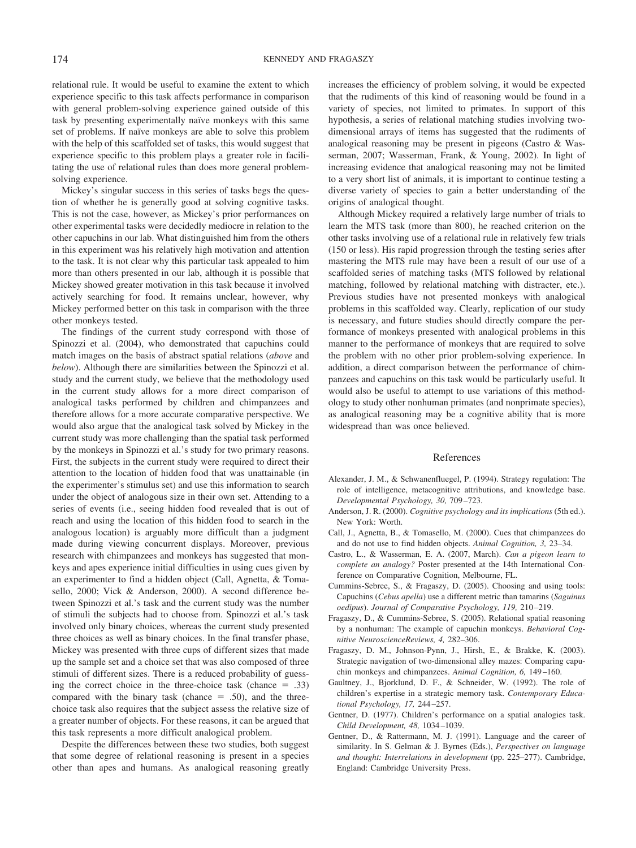relational rule. It would be useful to examine the extent to which experience specific to this task affects performance in comparison with general problem-solving experience gained outside of this task by presenting experimentally naïve monkeys with this same set of problems. If naïve monkeys are able to solve this problem with the help of this scaffolded set of tasks, this would suggest that experience specific to this problem plays a greater role in facilitating the use of relational rules than does more general problemsolving experience.

Mickey's singular success in this series of tasks begs the question of whether he is generally good at solving cognitive tasks. This is not the case, however, as Mickey's prior performances on other experimental tasks were decidedly mediocre in relation to the other capuchins in our lab. What distinguished him from the others in this experiment was his relatively high motivation and attention to the task. It is not clear why this particular task appealed to him more than others presented in our lab, although it is possible that Mickey showed greater motivation in this task because it involved actively searching for food. It remains unclear, however, why Mickey performed better on this task in comparison with the three other monkeys tested.

The findings of the current study correspond with those of Spinozzi et al. (2004), who demonstrated that capuchins could match images on the basis of abstract spatial relations (*above* and *below*). Although there are similarities between the Spinozzi et al. study and the current study, we believe that the methodology used in the current study allows for a more direct comparison of analogical tasks performed by children and chimpanzees and therefore allows for a more accurate comparative perspective. We would also argue that the analogical task solved by Mickey in the current study was more challenging than the spatial task performed by the monkeys in Spinozzi et al.'s study for two primary reasons. First, the subjects in the current study were required to direct their attention to the location of hidden food that was unattainable (in the experimenter's stimulus set) and use this information to search under the object of analogous size in their own set. Attending to a series of events (i.e., seeing hidden food revealed that is out of reach and using the location of this hidden food to search in the analogous location) is arguably more difficult than a judgment made during viewing concurrent displays. Moreover, previous research with chimpanzees and monkeys has suggested that monkeys and apes experience initial difficulties in using cues given by an experimenter to find a hidden object (Call, Agnetta, & Tomasello, 2000; Vick & Anderson, 2000). A second difference between Spinozzi et al.'s task and the current study was the number of stimuli the subjects had to choose from. Spinozzi et al.'s task involved only binary choices, whereas the current study presented three choices as well as binary choices. In the final transfer phase, Mickey was presented with three cups of different sizes that made up the sample set and a choice set that was also composed of three stimuli of different sizes. There is a reduced probability of guessing the correct choice in the three-choice task (chance  $= .33$ ) compared with the binary task (chance  $= .50$ ), and the threechoice task also requires that the subject assess the relative size of a greater number of objects. For these reasons, it can be argued that this task represents a more difficult analogical problem.

Despite the differences between these two studies, both suggest that some degree of relational reasoning is present in a species other than apes and humans. As analogical reasoning greatly increases the efficiency of problem solving, it would be expected that the rudiments of this kind of reasoning would be found in a variety of species, not limited to primates. In support of this hypothesis, a series of relational matching studies involving twodimensional arrays of items has suggested that the rudiments of analogical reasoning may be present in pigeons (Castro & Wasserman, 2007; Wasserman, Frank, & Young, 2002). In light of increasing evidence that analogical reasoning may not be limited to a very short list of animals, it is important to continue testing a diverse variety of species to gain a better understanding of the origins of analogical thought.

Although Mickey required a relatively large number of trials to learn the MTS task (more than 800), he reached criterion on the other tasks involving use of a relational rule in relatively few trials (150 or less). His rapid progression through the testing series after mastering the MTS rule may have been a result of our use of a scaffolded series of matching tasks (MTS followed by relational matching, followed by relational matching with distracter, etc.). Previous studies have not presented monkeys with analogical problems in this scaffolded way. Clearly, replication of our study is necessary, and future studies should directly compare the performance of monkeys presented with analogical problems in this manner to the performance of monkeys that are required to solve the problem with no other prior problem-solving experience. In addition, a direct comparison between the performance of chimpanzees and capuchins on this task would be particularly useful. It would also be useful to attempt to use variations of this methodology to study other nonhuman primates (and nonprimate species), as analogical reasoning may be a cognitive ability that is more widespread than was once believed.

#### References

- Alexander, J. M., & Schwanenfluegel, P. (1994). Strategy regulation: The role of intelligence, metacognitive attributions, and knowledge base. *Developmental Psychology, 30,* 709–723.
- Anderson, J. R. (2000). *Cognitive psychology and its implications* (5th ed.). New York: Worth.
- Call, J., Agnetta, B., & Tomasello, M. (2000). Cues that chimpanzees do and do not use to find hidden objects. *Animal Cognition, 3,* 23–34.
- Castro, L., & Wasserman, E. A. (2007, March). *Can a pigeon learn to complete an analogy?* Poster presented at the 14th International Conference on Comparative Cognition, Melbourne, FL.
- Cummins-Sebree, S., & Fragaszy, D. (2005). Choosing and using tools: Capuchins (*Cebus apella*) use a different metric than tamarins (*Saguinus oedipus*). *Journal of Comparative Psychology, 119,* 210–219.
- Fragaszy, D., & Cummins-Sebree, S. (2005). Relational spatial reasoning by a nonhuman: The example of capuchin monkeys. *Behavioral Cognitive NeuroscienceReviews, 4,* 282–306.
- Fragaszy, D. M., Johnson-Pynn, J., Hirsh, E., & Brakke, K. (2003). Strategic navigation of two-dimensional alley mazes: Comparing capuchin monkeys and chimpanzees. *Animal Cognition, 6,* 149–160.
- Gaultney, J., Bjorklund, D. F., & Schneider, W. (1992). The role of children's expertise in a strategic memory task. *Contemporary Educational Psychology, 17,* 244–257.
- Gentner, D. (1977). Children's performance on a spatial analogies task. *Child Development, 48,* 1034–1039.
- Gentner, D., & Rattermann, M. J. (1991). Language and the career of similarity. In S. Gelman & J. Byrnes (Eds.), *Perspectives on language and thought: Interrelations in development* (pp. 225–277). Cambridge, England: Cambridge University Press.